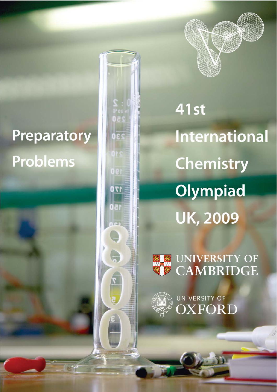# **Preparatory** Problems





**41st International Chemistry** Olympiad **UK, 2009** 



UNIVERSITY OF<br>CAMBRIDGE



UNIVERSITY OF **XFORD**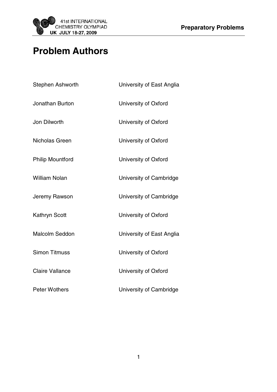

# **Problem Authors**

| Stephen Ashworth        | University of East Anglia |
|-------------------------|---------------------------|
| Jonathan Burton         | University of Oxford      |
| Jon Dilworth            | University of Oxford      |
| Nicholas Green          | University of Oxford      |
| <b>Philip Mountford</b> | University of Oxford      |
| <b>William Nolan</b>    | University of Cambridge   |
| Jeremy Rawson           | University of Cambridge   |
| <b>Kathryn Scott</b>    | University of Oxford      |
| <b>Malcolm Seddon</b>   | University of East Anglia |
| <b>Simon Titmuss</b>    | University of Oxford      |
| <b>Claire Vallance</b>  | University of Oxford      |
| <b>Peter Wothers</b>    | University of Cambridge   |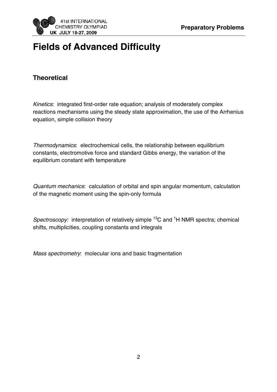

# **Fields of Advanced Difficulty**

# **Theoretical**

Kinetics: integrated first-order rate equation; analysis of moderately complex reactions mechanisms using the steady state approximation, the use of the Arrhenius equation, simple collision theory

Thermodynamics: electrochemical cells, the relationship between equilibrium constants, electromotive force and standard Gibbs energy, the variation of the equilibrium constant with temperature

Quantum mechanics: calculation of orbital and spin angular momentum, calculation of the magnetic moment using the spin-only formula

Spectroscopy: interpretation of relatively simple <sup>13</sup>C and <sup>1</sup>H NMR spectra; chemical shifts, multiplicities, coupling constants and integrals

Mass spectrometry: molecular ions and basic fragmentation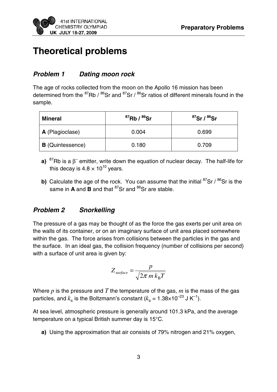

# **Theoretical problems**

## **Problem 1 Dating moon rock**

The age of rocks collected from the moon on the Apollo 16 mission has been determined from the  $^{87}$ Rb /  $^{86}$ Sr and  $^{87}$ Sr /  $^{86}$ Sr ratios of different minerals found in the sample.

| Mineral                 | $^{87}$ Rb / $^{86}$ Sr | ${}^{87}$ Sr / ${}^{86}$ Sr |
|-------------------------|-------------------------|-----------------------------|
| A (Plagioclase)         | 0.004                   | 0.699                       |
| <b>B</b> (Quintessence) | 0.180                   | 0.709                       |

- **a)**  ${}^{87}$ Rb is a  $\beta^-$  emitter, write down the equation of nuclear decay. The half-life for this decay is  $4.8 \times 10^{10}$  years.
- **b)** Calculate the age of the rock. You can assume that the initial <sup>87</sup>Sr / <sup>86</sup>Sr is the same in **A** and **B** and that <sup>87</sup>Sr and <sup>86</sup>Sr are stable.

# **Problem 2 Snorkelling**

The pressure of a gas may be thought of as the force the gas exerts per unit area on the walls of its container, or on an imaginary surface of unit area placed somewhere within the gas. The force arises from collisions between the particles in the gas and the surface. In an ideal gas, the collision frequency (number of collisions per second) with a surface of unit area is given by:

$$
Z_{surface} = \frac{p}{\sqrt{2\pi m k_{\rm B}T}}
$$

Where *p* is the pressure and *T* the temperature of the gas, *m* is the mass of the gas particles, and  $k<sub>B</sub>$  is the Boltzmann's constant ( $k<sub>B</sub> = 1.38 \times 10^{-23}$  J K<sup>-1</sup>).

At sea level, atmospheric pressure is generally around 101.3 kPa, and the average temperature on a typical British summer day is 15°C.

**a)** Using the approximation that air consists of 79% nitrogen and 21% oxygen,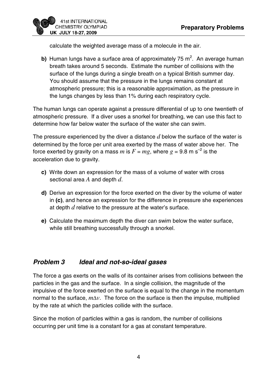

calculate the weighted average mass of a molecule in the air.

**b)** Human lungs have a surface area of approximately 75  $m^2$ . An average human breath takes around 5 seconds. Estimate the number of collisions with the surface of the lungs during a single breath on a typical British summer day. You should assume that the pressure in the lungs remains constant at atmospheric pressure; this is a reasonable approximation, as the pressure in the lungs changes by less than 1% during each respiratory cycle.

The human lungs can operate against a pressure differential of up to one twentieth of atmospheric pressure. If a diver uses a snorkel for breathing, we can use this fact to determine how far below water the surface of the water she can swim.

The pressure experienced by the diver a distance *d* below the surface of the water is determined by the force per unit area exerted by the mass of water above her. The force exerted by gravity on a mass *m* is  $F = mg$ , where  $g = 9.8$  m s<sup>-2</sup> is the acceleration due to gravity.

- **c)** Write down an expression for the mass of a volume of water with cross sectional area *A* and depth *d*.
- **d)** Derive an expression for the force exerted on the diver by the volume of water in **(c)**, and hence an expression for the difference in pressure she experiences at depth *d* relative to the pressure at the water's surface.
- **e)** Calculate the maximum depth the diver can swim below the water surface, while still breathing successfully through a snorkel.

## **Problem 3 Ideal and not-so-ideal gases**

The force a gas exerts on the walls of its container arises from collisions between the particles in the gas and the surface. In a single collision, the magnitude of the impulsive of the force exerted on the surface is equal to the change in the momentum normal to the surface, *m*Δ*v*. The force on the surface is then the impulse, multiplied by the rate at which the particles collide with the surface.

Since the motion of particles within a gas is random, the number of collisions occurring per unit time is a constant for a gas at constant temperature.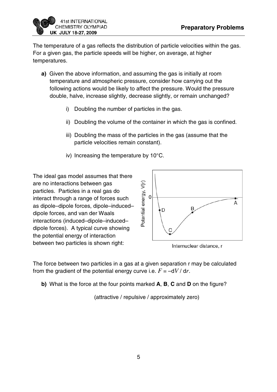

The temperature of a gas reflects the distribution of particle velocities within the gas. For a given gas, the particle speeds will be higher, on average, at higher temperatures.

- **a)** Given the above information, and assuming the gas is initially at room temperature and atmospheric pressure, consider how carrying out the following actions would be likely to affect the pressure. Would the pressure double, halve, increase slightly, decrease slightly, or remain unchanged?
	- i) Doubling the number of particles in the gas.
	- ii) Doubling the volume of the container in which the gas is confined.
	- iii) Doubling the mass of the particles in the gas (assume that the particle velocities remain constant).
	- iv) Increasing the temperature by 10°C.

The ideal gas model assumes that there are no interactions between gas particles. Particles in a real gas do interact through a range of forces such as dipole–dipole forces, dipole–induced– dipole forces, and van der Waals interactions (induced–dipole–induced– dipole forces). A typical curve showing the potential energy of interaction between two particles is shown right:



Internuclear distance, r

The force between two particles in a gas at a given separation r may be calculated from the gradient of the potential energy curve i.e.  $F = -dV/dr$ .

**b)** What is the force at the four points marked **A**, **B**, **C** and **D** on the figure?

(attractive / repulsive / approximately zero)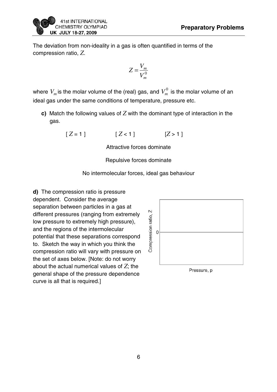

The deviation from non-ideality in a gas is often quantified in terms of the compression ratio, *Z*.

$$
Z = \frac{V_m}{V_m^0}
$$

where  $V_m$  is the molar volume of the (real) gas, and  $V_m^0$  is the molar volume of an ideal gas under the same conditions of temperature, pressure etc.

**c)** Match the following values of *Z* with the dominant type of interaction in the gas.

$$
[Z=1] \qquad [Z<1] \qquad [Z>1]
$$

Attractive forces dominate

Repulsive forces dominate

#### No intermolecular forces, ideal gas behaviour

**d)** The compression ratio is pressure dependent. Consider the average separation between particles in a gas at different pressures (ranging from extremely low pressure to extremely high pressure), and the regions of the intermolecular potential that these separations correspond to. Sketch the way in which you think the compression ratio will vary with pressure on the set of axes below. [Note: do not worry about the actual numerical values of *Z*; the general shape of the pressure dependence curve is all that is required.]

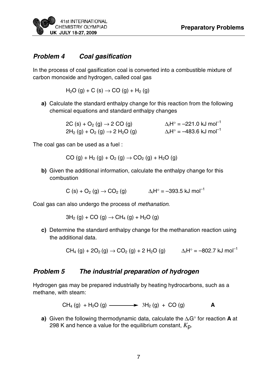#### **Problem 4 Coal gasification**

In the process of coal gasification coal is converted into a combustible mixture of carbon monoxide and hydrogen, called coal gas

$$
H_2O(g) + C(s) \rightarrow CO(g) + H_2(g)
$$

**a)** Calculate the standard enthalpy change for this reaction from the following chemical equations and standard enthalpy changes

> 2C (s) + O<sub>2</sub> (g)  $\rightarrow$  2 CO (g)  $\Delta_rH^\circ = -221.0 \text{ kJ mol}^{-1}$ <br>
> 2H<sub>2</sub> (g) + O<sub>2</sub> (g)  $\rightarrow$  2 H<sub>2</sub>O (g)  $\Delta_rH^\circ = -483.6 \text{ kJ mol}^{-1}$  $2H_2(g) + O_2(g) \rightarrow 2H_2O(g)$

The coal gas can be used as a fuel :

 $CO (q) + H_2 (q) + O_2 (q) \rightarrow CO_2 (q) + H_2 O (q)$ 

**b)** Given the additional information, calculate the enthalpy change for this combustion

$$
C(s) + O_2(g) \rightarrow CO_2(g)
$$
  $\Delta_r H^\circ = -393.5 \text{ kJ mol}^{-1}$ 

Coal gas can also undergo the process of methanation.

 $3H<sub>2</sub>$  (g) + CO (g)  $\rightarrow$  CH<sub>4</sub> (g) + H<sub>2</sub>O (g)

**c)** Determine the standard enthalpy change for the methanation reaction using the additional data.

 $CH_4 (g) + 2O_2 (g) \rightarrow CO_2 (g) + 2 H_2O (g)$   $\Delta_f H^{\circ} = -802.7 \text{ kJ mol}^{-1}$ 

#### **Problem 5 The industrial preparation of hydrogen**

Hydrogen gas may be prepared industrially by heating hydrocarbons, such as a methane, with steam:

 $CH_4(q) + H_2O(q)$   $\longrightarrow$   $3H_2(q) + CO(q)$  **A** 

**a)** Given the following thermodynamic data, calculate the ΔrG° for reaction **A** at 298 K and hence a value for the equilibrium constant, *K*p.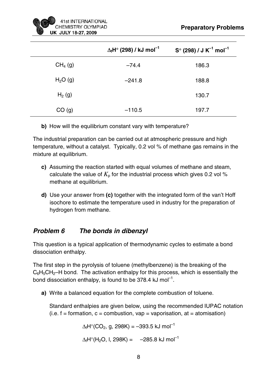|                     | $\Delta_f$ H $^{\circ}$ (298) / kJ mol $^{-1}$ | $S^{\circ}$ (298) / J K <sup>-1</sup> mol <sup>-1</sup> |
|---------------------|------------------------------------------------|---------------------------------------------------------|
| CH <sub>4</sub> (g) | $-74.4$                                        | 186.3                                                   |
| $H2O$ (g)           | $-241.8$                                       | 188.8                                                   |
| $H_2(g)$            |                                                | 130.7                                                   |
| CO(g)               | $-110.5$                                       | 197.7                                                   |

**b)** How will the equilibrium constant vary with temperature?

The industrial preparation can be carried out at atmospheric pressure and high temperature, without a catalyst. Typically, 0.2 vol % of methane gas remains in the mixture at equilibrium.

- **c)** Assuming the reaction started with equal volumes of methane and steam, calculate the value of  $K_{\text{p}}$  for the industrial process which gives 0.2 vol % methane at equilibrium.
- **d)** Use your answer from **(c)** together with the integrated form of the van't Hoff isochore to estimate the temperature used in industry for the preparation of hydrogen from methane.

# **Problem 6 The bonds in dibenzyl**

This question is a typical application of thermodynamic cycles to estimate a bond dissociation enthalpy.

The first step in the pyrolysis of toluene (methylbenzene) is the breaking of the  $C_6H_5CH_2-H$  bond. The activation enthalpy for this process, which is essentially the bond dissociation enthalpy, is found to be 378.4 kJ mol<sup>-1</sup>.

**a)** Write a balanced equation for the complete combustion of toluene.

Standard enthalpies are given below, using the recommended IUPAC notation  $(i.e. f = formation, c = combination, van = vaporisation, at = atomisation)$ 

> $\Delta_f H^{\circ}$ (CO<sub>2</sub>, g, 298K) = -393.5 kJ mol<sup>-1</sup>  $\Delta_f H^{\circ}(H_2O, I, 298K) = -285.8 \text{ kJ mol}^{-1}$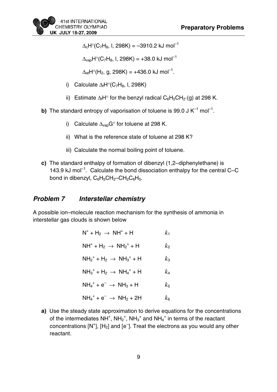$\Delta_c H^{\circ}$ (C<sub>7</sub>H<sub>8</sub>, I, 298K) = -3910.2 kJ mol<sup>-1</sup>

 $\Delta_{\text{van}}H^{\circ}(C_7H_8, I, 298K) = +38.0 \text{ kJ mol}^{-1}$ 

 $\Delta_{\text{at}}H^{\circ}(H_2, g, 298K) = +436.0 \text{ kJ mol}^{-1}.$ 

- i) Calculate  $\Delta_f H^{\circ}$ (C<sub>7</sub>H<sub>8</sub>, I, 298K)
- ii) Estimate  $\Delta_f H^{\circ}$  for the benzyl radical  $C_6H_5CH_2(G)$  at 298 K.

**b)** The standard entropy of vaporisation of toluene is 99.0 J  $K^{-1}$  mol<sup>-1</sup>.

- i) Calculate  $\Delta_{\rm vap}G^{\circ}$  for toluene at 298 K.
- ii) What is the reference state of toluene at 298 K?
- iii) Calculate the normal boiling point of toluene.
- **c)** The standard enthalpy of formation of dibenzyl (1,2–diphenylethane) is 143.9 kJ mol<sup>-1</sup>. Calculate the bond dissociation enthalpy for the central C–C bond in dibenzyl,  $C_6H_5CH_2-CH_2C_6H_5$ .

#### **Problem 7 Interstellar chemistry**

A possible ion–molecule reaction mechanism for the synthesis of ammonia in interstellar gas clouds is shown below

| $N^+ + H_2 \rightarrow NH^+ + H$      | $k_{1}$ |
|---------------------------------------|---------|
| $NH^+ + H_2 \rightarrow NH_2^+ + H$   | k2      |
| $NH_2^+ + H_2 \rightarrow NH_3^+ + H$ | $k_3$   |
| $NH_3^+ + H_2 \rightarrow NH_4^+ + H$ | k4      |
| $NH_4^+ + e^- \rightarrow NH_3 + H$   | $k_{5}$ |
| $NH_4^+ + e^- \rightarrow NH_2 + 2H$  | $k_{6}$ |

**a)** Use the steady state approximation to derive equations for the concentrations of the intermediates  $NH^+$ ,  $NH_2^+$ ,  $NH_3^+$  and  $NH_4^+$  in terms of the reactant concentrations  $[N^+]$ ,  $[H_2]$  and  $[e^-]$ . Treat the electrons as you would any other reactant.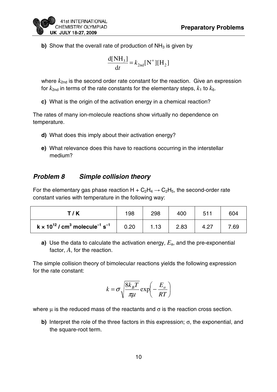

**b)** Show that the overall rate of production of  $NH<sub>3</sub>$  is given by

$$
\frac{\mathrm{d}[NH_3]}{\mathrm{d}t} = k_{2\mathrm{nd}}[N^+][H_2]
$$

where  $k_{2nd}$  is the second order rate constant for the reaction. Give an expression for  $k_{2nd}$  in terms of the rate constants for the elementary steps,  $k_1$  to  $k_6$ .

**c)** What is the origin of the activation energy in a chemical reaction?

The rates of many ion-molecule reactions show virtually no dependence on temperature.

- **d)** What does this imply about their activation energy?
- **e)** What relevance does this have to reactions occurring in the interstellar medium?

# **Problem 8 Simple collision theory**

For the elementary gas phase reaction  $H + C_2H_4 \rightarrow C_2H_5$ , the second-order rate constant varies with temperature in the following way:

| T/K                                                                         | 198  | 298  | 400  | 511  | 604  |
|-----------------------------------------------------------------------------|------|------|------|------|------|
| $k \times 10^{12}$ / cm <sup>3</sup> molecule <sup>-1</sup> s <sup>-1</sup> | 0.20 | 1.13 | 2.83 | 4.27 | 7.69 |

**a)** Use the data to calculate the activation energy, *E*a, and the pre-exponential factor, *A*, for the reaction.

The simple collision theory of bimolecular reactions yields the following expression for the rate constant:

$$
k = \sigma \sqrt{\frac{8k_B T}{\pi \mu}} \exp\left(-\frac{E_a}{RT}\right)
$$

where  $\mu$  is the reduced mass of the reactants and  $\sigma$  is the reaction cross section.

**b)** Interpret the role of the three factors in this expression; σ, the exponential, and the square-root term.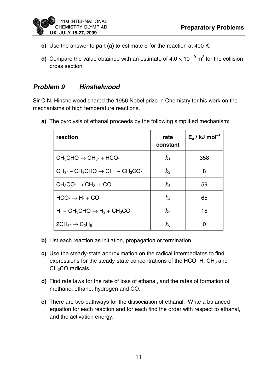

- **c)** Use the answer to part **(a)** to estimate σ for the reaction at 400 K.
- **d)** Compare the value obtained with an estimate of  $4.0 \times 10^{-19}$  m<sup>2</sup> for the collision cross section.

## **Problem 9 Hinshelwood**

Sir C.N. Hinshelwood shared the 1956 Nobel prize in Chemistry for his work on the mechanisms of high temperature reactions.

**a)** The pyrolysis of ethanal proceeds by the following simplified mechanism:

| reaction                                                                           | rate<br>constant     | $E_a / kJ$ mol <sup>-1</sup> |
|------------------------------------------------------------------------------------|----------------------|------------------------------|
| $CH_3CHO \rightarrow CH_{3} \cdot + HCO \cdot$                                     | k <sub>1</sub>       | 358                          |
| $CH_{3}$ + CH <sub>3</sub> CHO $\rightarrow$ CH <sub>4</sub> + CH <sub>3</sub> CO. | k <sub>2</sub>       | 8                            |
| $CH_3CO \rightarrow CH_{3} \cdot + CO$                                             | $k_3$                | 59                           |
| $HCO \rightarrow H \cdot + CO$                                                     | $k_4$                | 65                           |
| $H_1 + CH_3CHO \rightarrow H_2 + CH_3CO$                                           | $k_{5}$              | 15                           |
| $2CH_{3} \rightarrow C_{2}H_{6}$                                                   | $k_{\scriptstyle 6}$ |                              |

- **b)** List each reaction as initiation, propagation or termination.
- **c)** Use the steady-state approximation on the radical intermediates to find expressions for the steady-state concentrations of the HCO,  $H$ ,  $CH<sub>3</sub>$  and CH<sub>3</sub>CO radicals.
- **d)** Find rate laws for the rate of loss of ethanal, and the rates of formation of methane, ethane, hydrogen and CO.
- **e)** There are two pathways for the dissociation of ethanal. Write a balanced equation for each reaction and for each find the order with respect to ethanal, and the activation energy.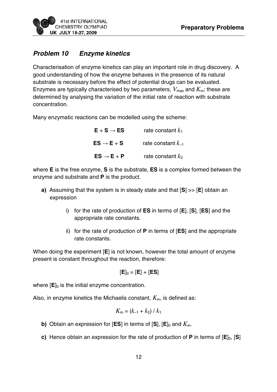

# **Problem 10 Enzyme kinetics**

Characterisation of enzyme kinetics can play an important role in drug discovery. A good understanding of how the enzyme behaves in the presence of its natural substrate is necessary before the effect of potential drugs can be evaluated. Enzymes are typically characterised by two parameters,  $V_{\text{max}}$  and  $K_{\text{m}}$ ; these are determined by analysing the variation of the initial rate of reaction with substrate concentration.

Many enzymatic reactions can be modelled using the scheme:

| $E + S \rightarrow ES$ | rate constant $k_1$    |
|------------------------|------------------------|
| $ES \rightarrow E + S$ | rate constant $k_{-1}$ |
| $ES \rightarrow E + P$ | rate constant $k_2$    |

where **E** is the free enzyme, **S** is the substrate, **ES** is a complex formed between the enzyme and substrate and **P** is the product.

- **a)** Assuming that the system is in steady state and that [**S**] >> [**E**] obtain an expression
	- i) for the rate of production of **ES** in terms of [**E**], [**S**], [**ES**] and the appropriate rate constants.
	- ii) for the rate of production of **P** in terms of [**ES**] and the appropriate rate constants.

When doing the experiment [**E**] is not known, however the total amount of enzyme present is constant throughout the reaction, therefore:

$$
[\mathsf{E}]_0 = [\mathsf{E}] + [\mathsf{ES}]
$$

where  $[E]_0$  is the initial enzyme concentration.

Also, in enzyme kinetics the Michaelis constant,  $K<sub>m</sub>$ , is defined as:

$$
K_{\rm m} = (k_{-1} + k_2) / k_1
$$

- **b)** Obtain an expression for [**ES**] in terms of [**S**],  $[E]_0$  and  $K_m$ .
- **c)** Hence obtain an expression for the rate of production of **P** in terms of [**E**]<sub>0</sub>, [**S**]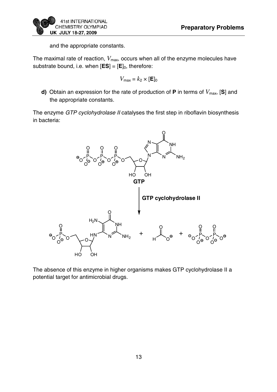and the appropriate constants.

The maximal rate of reaction,  $V_{\text{max}}$ , occurs when all of the enzyme molecules have substrate bound, i.e. when  $[ES] = [E]_0$ , therefore:

$$
V_{\text{max}} = k_2 \times [\mathbf{E}]_0
$$

**d)** Obtain an expression for the rate of production of **P** in terms of  $V_{\text{max}}$ , [S] and the appropriate constants.

The enzyme GTP cyclohydrolase II catalyses the first step in riboflavin biosynthesis in bacteria:



The absence of this enzyme in higher organisms makes GTP cyclohydrolase II a potential target for antimicrobial drugs.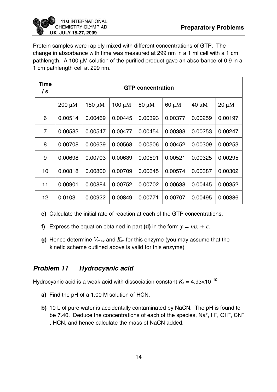Protein samples were rapidly mixed with different concentrations of GTP. The change in absorbance with time was measured at 299 nm in a 1 ml cell with a 1 cm pathlength. A 100 μM solution of the purified product gave an absorbance of 0.9 in a 1 cm pathlength cell at 299 nm.

| Time<br>/ s    | <b>GTP concentration</b> |             |         |            |         |            |            |
|----------------|--------------------------|-------------|---------|------------|---------|------------|------------|
|                | $200 \mu M$              | $150 \mu M$ | 100 µM  | $80 \mu M$ | 60 µM   | $40 \mu M$ | $20 \mu M$ |
| 6              | 0.00514                  | 0.00469     | 0.00445 | 0.00393    | 0.00377 | 0.00259    | 0.00197    |
| $\overline{7}$ | 0.00583                  | 0.00547     | 0.00477 | 0.00454    | 0.00388 | 0.00253    | 0.00247    |
| 8              | 0.00708                  | 0.00639     | 0.00568 | 0.00506    | 0.00452 | 0.00309    | 0.00253    |
| 9              | 0.00698                  | 0.00703     | 0.00639 | 0.00591    | 0.00521 | 0.00325    | 0.00295    |
| 10             | 0.00818                  | 0.00800     | 0.00709 | 0.00645    | 0.00574 | 0.00387    | 0.00302    |
| 11             | 0.00901                  | 0.00884     | 0.00752 | 0.00702    | 0.00638 | 0.00445    | 0.00352    |
| 12             | 0.0103                   | 0.00922     | 0.00849 | 0.00771    | 0.00707 | 0.00495    | 0.00386    |

- **e)** Calculate the initial rate of reaction at each of the GTP concentrations.
- **f)** Express the equation obtained in part **(d)** in the form  $y = mx + c$ .
- **g)** Hence determine  $V_{\text{max}}$  and  $K_{\text{m}}$  for this enzyme (you may assume that the kinetic scheme outlined above is valid for this enzyme)

## **Problem 11 Hydrocyanic acid**

Hydrocyanic acid is a weak acid with dissociation constant  $K_a = 4.93 \times 10^{-10}$ 

- **a)** Find the pH of a 1.00 M solution of HCN.
- **b)** 10 L of pure water is accidentally contaminated by NaCN. The pH is found to be 7.40. Deduce the concentrations of each of the species,  $Na^+$ ,  $H^+$ ,  $OH^-$ ,  $CN^-$ , HCN, and hence calculate the mass of NaCN added.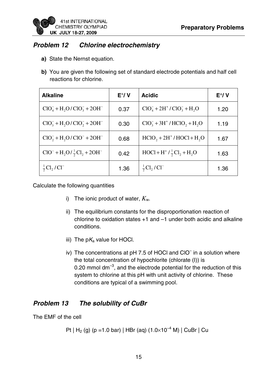

# **Problem 12 Chlorine electrochemistry**

- **a)** State the Nernst equation.
- **b)** You are given the following set of standard electrode potentials and half cell reactions for chlorine.

| <b>Alkaline</b>                                | $E^{\circ}/V$ | <b>Acidic</b>                         | $E^{\circ}/V$ |
|------------------------------------------------|---------------|---------------------------------------|---------------|
| $ClO4- + H2O/CIO3- + 2OH-$                     | 0.37          | $ClO4- + 2H+ / ClO3- + H2O$           | 1.20          |
| $ClO3- + H2O/CIO2- + 2OH-$                     | 0.30          | $ClO3- + 3H+ / HClO2 + H2O$           | 1.19          |
| $ClO2- + H2O/CIO- + 2OH-$                      | 0.68          | $HCIO, +2H+/HOCl + H2O$               | 1.67          |
| $ClO^{-} + H_{2}O/\frac{1}{2}Cl_{2} + 2OH^{-}$ | 0.42          | $HOCI + H^+ / \frac{1}{2}Cl_2 + H_2O$ | 1.63          |
| $\frac{1}{2}Cl_{2}/Cl^{-}$                     | 1.36          | $\frac{1}{2}Cl_{2}/Cl^{-}$            | 1.36          |

Calculate the following quantities

- i) The ionic product of water,  $K_w$ .
- ii) The equilibrium constants for the disproportionation reaction of chlorine to oxidation states +1 and –1 under both acidic and alkaline conditions.
- iii) The  $pK_a$  value for HOCl.
- iv) The concentrations at pH 7.5 of HOCI and CIO<sup>-</sup> in a solution where the total concentration of hypochlorite (chlorate (I)) is 0.20 mmol  $dm^{-3}$ , and the electrode potential for the reduction of this system to chlorine at this pH with unit activity of chlorine. These conditions are typical of a swimming pool.

# **Problem 13 The solubility of CuBr**

The EMF of the cell

```
Pt | H<sub>2</sub> (g) (p =1.0 bar) | HBr (aq) (1.0 \times 10^{-4} M) | CuBr | Cu
```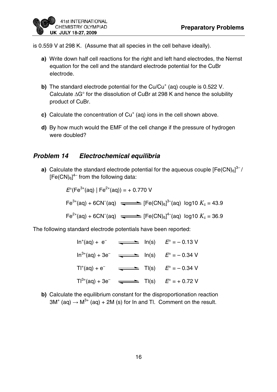

is 0.559 V at 298 K. (Assume that all species in the cell behave ideally).

- **a)** Write down half cell reactions for the right and left hand electrodes, the Nernst equation for the cell and the standard electrode potential for the CuBr electrode.
- **b)** The standard electrode potential for the Cu/Cu<sup>+</sup> (aq) couple is 0.522 V. Calculate ΔG° for the dissolution of CuBr at 298 K and hence the solubility product of CuBr.
- $c)$  Calculate the concentration of  $Cu<sup>+</sup>$  (aq) ions in the cell shown above.
- **d)** By how much would the EMF of the cell change if the pressure of hydrogen were doubled?

## **Problem 14 Electrochemical equilibria**

**a)** Calculate the standard electrode potential for the aqueous couple  $[Fe(CN)_{6}]^{3-}/$  $[Fe(CN)_{6}]^{4-}$  from the following data:

$$
E^{\circ}(\text{Fe}^{3+}(\text{aq}) \mid \text{Fe}^{2+}(\text{aq})) = +0.770 \text{ V}
$$
  
\n
$$
\text{Fe}^{3+}(\text{aq}) + 6\text{CN}^{-}(\text{aq}) \xrightarrow{\bullet} [Fe(\text{CN})_{6}]^{3-}(\text{aq}) \log 10 \text{ K}_{c} = 43.9
$$
  
\n
$$
\text{Fe}^{2+}(\text{aq}) + 6\text{CN}^{-}(\text{aq}) \xrightarrow{\bullet} [Fe(\text{CN})_{6}]^{4-}(\text{aq}) \log 10 \text{ K}_{c} = 36.9
$$

The following standard electrode potentials have been reported:

 $\ln^+(aq) + e^ \implies$   $\ln(s)$   $E^{\circ} = -0.13 \text{ V}$  $\text{In}^{3+}(\text{aq}) + 3\text{e}^ \implies$   $\text{In}(\text{s})$   $E^\circ = -0.34 \text{ V}$  $T1^{+}(aq) + e^{-}$   $\longrightarrow T1(s)$   $E^{\circ} = -0.34$  V  $T1^{3+}(aq) + 3e^ \longrightarrow$  TI(s)  $E^{\circ} = +0.72 \text{ V}$ 

**b)** Calculate the equilibrium constant for the disproportionation reaction  $3M^{+}$  (aq)  $\rightarrow$   $M^{3+}$  (aq) + 2M (s) for In and TI. Comment on the result.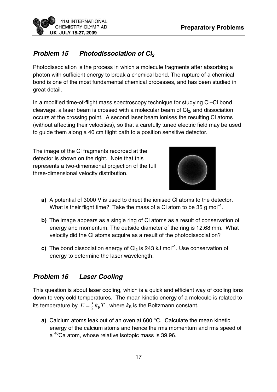

# **Problem 15 Photodissociation of Cl<sub>2</sub>**

Photodissociation is the process in which a molecule fragments after absorbing a photon with sufficient energy to break a chemical bond. The rupture of a chemical bond is one of the most fundamental chemical processes, and has been studied in great detail.

In a modified time-of-flight mass spectroscopy technique for studying Cl–Cl bond cleavage, a laser beam is crossed with a molecular beam of  $Cl<sub>2</sub>$ , and dissociation occurs at the crossing point. A second laser beam ionises the resulting Cl atoms (without affecting their velocities), so that a carefully tuned electric field may be used to guide them along a 40 cm flight path to a position sensitive detector.

The image of the Cl fragments recorded at the detector is shown on the right. Note that this represents a two-dimensional projection of the full three-dimensional velocity distribution.



- **a)** A potential of 3000 V is used to direct the ionised Cl atoms to the detector. What is their flight time? Take the mass of a CI atom to be 35 g mol<sup>-1</sup>.
- **b)** The image appears as a single ring of Cl atoms as a result of conservation of energy and momentum. The outside diameter of the ring is 12.68 mm. What velocity did the Cl atoms acquire as a result of the photodissociation?
- **c)** The bond dissociation energy of Cl<sub>2</sub> is 243 kJ mol<sup>-1</sup>. Use conservation of energy to determine the laser wavelength.

# **Problem 16 Laser Cooling**

This question is about laser cooling, which is a quick and efficient way of cooling ions down to very cold temperatures. The mean kinetic energy of a molecule is related to its temperature by  $E = \frac{3}{2} k_{\text{B}} T$  , where  $k_{\text{B}}$  is the Boltzmann constant.

**a)** Calcium atoms leak out of an oven at 600 °C. Calculate the mean kinetic energy of the calcium atoms and hence the rms momentum and rms speed of a 40Ca atom, whose relative isotopic mass is 39.96.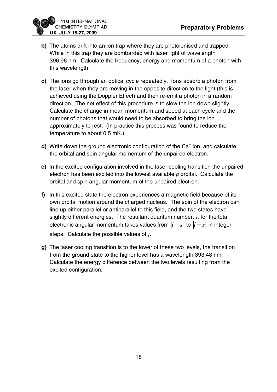

- **b)** The atoms drift into an ion trap where they are photoionised and trapped. While in this trap they are bombarded with laser light of wavelength 396.96 nm. Calculate the frequency, energy and momentum of a photon with this wavelength.
- **c)** The ions go through an optical cycle repeatedly. Ions absorb a photon from the laser when they are moving in the opposite direction to the light (this is achieved using the Doppler Effect) and then re-emit a photon in a random direction. The net effect of this procedure is to slow the ion down slightly. Calculate the change in mean momentum and speed at each cycle and the number of photons that would need to be absorbed to bring the ion approximately to rest. (In practice this process was found to reduce the temperature to about 0.5 mK.)
- d) Write down the ground electronic configuration of the Ca<sup>+</sup> ion, and calculate the orbital and spin angular momentum of the unpaired electron.
- **e)** In the excited configuration involved in the laser cooling transition the unpaired electron has been excited into the lowest available  $p$  orbital. Calculate the orbital and spin angular momentum of the unpaired electron.
- **f)** In this excited state the electron experiences a magnetic field because of its own orbital motion around the charged nucleus. The spin of the electron can line up either parallel or antiparallel to this field, and the two states have slightly different energies. The resultant quantum number, *j*, for the total electronic angular momentum takes values from  $|l - s|$  to  $|l + s|$  in integer steps. Calculate the possible values of *j*.
- **g)** The laser cooling transition is to the lower of these two levels, the transition from the ground state to the higher level has a wavelength 393.48 nm. Calculate the energy difference between the two levels resulting from the excited configuration.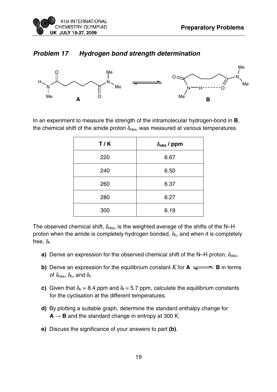

#### **Problem 17 Hydrogen bond strength determination**



In an experiment to measure the strength of the intramolecular hydrogen-bond in **B**, the chemical shift of the amide proton  $\delta_{obs}$ , was measured at various temperatures.

| T/K | $\delta_{\rm obs}$ / ppm |  |  |  |  |
|-----|--------------------------|--|--|--|--|
| 220 | 6.67                     |  |  |  |  |
| 240 | 6.50                     |  |  |  |  |
| 260 | 6.37                     |  |  |  |  |
| 280 | 6.27                     |  |  |  |  |
| 300 | 6.19                     |  |  |  |  |

The observed chemical shift,  $\delta_{obs}$ , is the weighted average of the shifts of the N–H proton when the amide is completely hydrogen bonded,  $\delta_h$ , and when it is completely free,  $\delta_f$ .

- **a)** Derive an expression for the observed chemical shift of the N–H proton,  $\delta_{\text{obs}}$ .
- **b)** Derive an expression for the equilibrium constant  $K$  for  $A \rightleftharpoons B$  in terms of  $\delta_{\text{obs}}$ ,  $\delta_{\text{h}}$ , and  $\delta_{\text{f}}$ .
- **c)** Given that  $\delta_h = 8.4$  ppm and  $\delta_f = 5.7$  ppm, calculate the equilibrium constants for the cyclisation at the different temperatures.
- **d)** By plotting a suitable graph, determine the standard enthalpy change for  $A \rightarrow B$  and the standard change in entropy at 300 K.
- **e)** Discuss the significance of your answers to part **(b)**.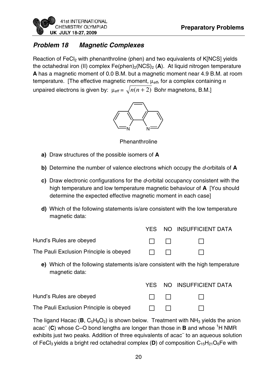

# **Problem 18 Magnetic Complexes**

Reaction of FeCl<sub>2</sub> with phenanthroline (phen) and two equivalents of K[NCS] yields the octahedral iron (II) complex Fe(phen)<sub>2</sub>(NCS)<sub>2</sub> (A). At liquid nitrogen temperature **A** has a magnetic moment of 0.0 B.M. but a magnetic moment near 4.9 B.M. at room temperature. [The effective magnetic moment, μeff, for a complex containing *n* unpaired electrons is given by:  $\mu_{\text{eff}} = \sqrt{n(n+2)}$  Bohr magnetons, B.M.]



Phenanthroline

- **a)** Draw structures of the possible isomers of **A**
- **b)** Determine the number of valence electrons which occupy the d-orbitals of **A**
- **c)** Draw electronic configurations for the d-orbital occupancy consistent with the high temperature and low temperature magnetic behaviour of **A** [You should determine the expected effective magnetic moment in each case]
- **d)** Which of the following statements is/are consistent with the low temperature magnetic data:

|                                         |                |                                                     | YES NO INSUFFICIENT DATA |
|-----------------------------------------|----------------|-----------------------------------------------------|--------------------------|
| Hund's Rules are obeyed                 |                | $\mathbf{1}$ $\mathbf{1}$ $\mathbf{1}$ $\mathbf{1}$ |                          |
| The Pauli Exclusion Principle is obeyed | $\blacksquare$ |                                                     |                          |

**e)** Which of the following statements is/are consistent with the high temperature magnetic data:

|                                         |                         | YES NO INSUFFICIENT DATA |
|-----------------------------------------|-------------------------|--------------------------|
| Hund's Rules are obeyed                 |                         |                          |
| The Pauli Exclusion Principle is obeyed | <b>The Common State</b> |                          |

The ligand Hacac ( $\mathbf{B}$ ,  $C_5H_8O_2$ ) is shown below. Treatment with NH<sub>3</sub> yields the anion acac<sup>-</sup> (C) whose C–O bond lengths are longer than those in **B** and whose <sup>1</sup>H NMR exhibits just two peaks. Addition of three equivalents of acac<sup>-</sup> to an aqueous solution of FeCl<sub>3</sub> yields a bright red octahedral complex (D) of composition  $C_{15}H_{21}O_6$ Fe with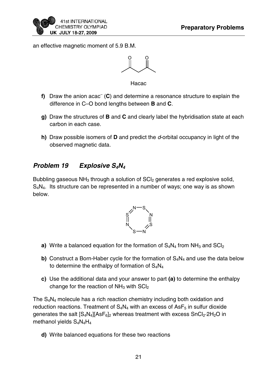

an effective magnetic moment of 5.9 B.M.

O O

Hacac

- f) Draw the anion acac<sup>-</sup> (C) and determine a resonance structure to explain the difference in C–O bond lengths between **B** and **C**.
- **g)** Draw the structures of **B** and **C** and clearly label the hybridisation state at each carbon in each case.
- **h)** Draw possible isomers of **D** and predict the d-orbital occupancy in light of the observed magnetic data.

# **Problem 19 Explosive S4N<sup>4</sup>**

Bubbling gaseous  $NH<sub>3</sub>$  through a solution of  $SCI<sub>2</sub>$  generates a red explosive solid, S4N4. Its structure can be represented in a number of ways; one way is as shown below.



- **a)** Write a balanced equation for the formation of  $S_4N_4$  from  $NH_3$  and  $SCI_2$
- **b)** Construct a Born-Haber cycle for the formation of  $S_4N_4$  and use the data below to determine the enthalpy of formation of  $S_4N_4$
- **c)** Use the additional data and your answer to part **(a)** to determine the enthalpy change for the reaction of  $NH<sub>3</sub>$  with  $\text{SCI}_2$

The S4N4 molecule has a rich reaction chemistry including both oxidation and reduction reactions. Treatment of  $S_4N_4$  with an excess of AsF<sub>5</sub> in sulfur dioxide generates the salt  $[S_4N_4][AsF_6]_2$  whereas treatment with excess  $SnCl_2·2H_2O$  in methanol yields S<sub>4</sub>N<sub>4</sub>H<sub>4</sub>

**d)** Write balanced equations for these two reactions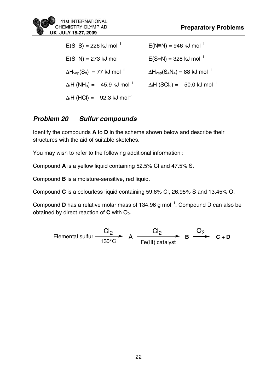

| $E(S-S) = 226$ kJ mol <sup>-1</sup>                          | $E(N=N) = 946$ kJ mol <sup>-1</sup>                       |
|--------------------------------------------------------------|-----------------------------------------------------------|
| $E(S-N) = 273$ kJ mol <sup>-1</sup>                          | $E(S=N) = 328$ kJ mol <sup>-1</sup>                       |
| $\Delta H_{\text{vap}}(S_8) = 77$ kJ mol <sup>-1</sup>       | $\Delta H_{\text{vap}}(S_4N_4) = 88$ kJ mol <sup>-1</sup> |
| $\Delta_f$ H (NH <sub>3</sub> ) = -45.9 kJ mol <sup>-1</sup> | $\Delta_f H (SCI_2) = -50.0 \text{ kJ mol}^{-1}$          |
| $\Delta_f$ H (HCl) = - 92.3 kJ mol <sup>-1</sup>             |                                                           |

# **Problem 20 Sulfur compounds**

Identify the compounds **A** to **D** in the scheme shown below and describe their structures with the aid of suitable sketches.

You may wish to refer to the following additional information :

Compound **A** is a yellow liquid containing 52.5% Cl and 47.5% S.

Compound **B** is a moisture-sensitive, red liquid.

Compound **C** is a colourless liquid containing 59.6% Cl, 26.95% S and 13.45% O.

Compound **D** has a relative molar mass of 134.96 g mol<sup>-1</sup>. Compound D can also be obtained by direct reaction of **C** with O<sub>2</sub>.

$$
\text{Elemental sulfur} \xrightarrow{\text{Cl}_2} \text{A} \xrightarrow{\text{Cl}_2} \text{B} \xrightarrow{\text{O}_2} \text{C} + \text{D}
$$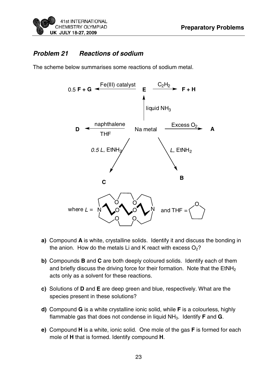## **Problem 21 Reactions of sodium**

The scheme below summarises some reactions of sodium metal.



- **a)** Compound **A** is white, crystalline solids. Identify it and discuss the bonding in the anion. How do the metals Li and K react with excess  $O_2$ ?
- **b)** Compounds **B** and **C** are both deeply coloured solids. Identify each of them and briefly discuss the driving force for their formation. Note that the  $EtNH<sub>2</sub>$ acts only as a solvent for these reactions.
- **c)** Solutions of **D** and **E** are deep green and blue, respectively. What are the species present in these solutions?
- **d)** Compound **G** is a white crystalline ionic solid, while **F** is a colourless, highly flammable gas that does not condense in liquid NH3. Identify **F** and **G**.
- **e)** Compound **H** is a white, ionic solid. One mole of the gas **F** is formed for each mole of **H** that is formed. Identify compound **H**.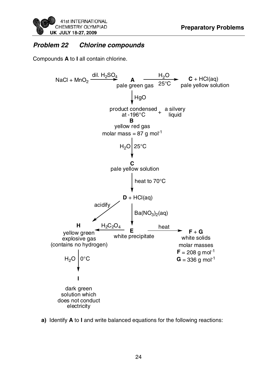

# **Problem 22 Chlorine compounds**

Compounds **A** to **I** all contain chlorine.



**a)** Identify **A** to **I** and write balanced equations for the following reactions: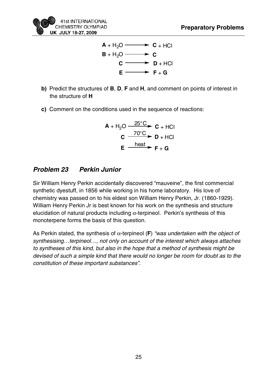



- **b)** Predict the structures of **B**, **D**, **F** and **H**, and comment on points of interest in the structure of **H**
- **c)** Comment on the conditions used in the sequence of reactions:

$$
A + H2O \xrightarrow{25^{\circ}C} C + HCl
$$
  
\n
$$
C \xrightarrow{70^{\circ}C} D + HCl
$$
  
\n
$$
E \xrightarrow{\text{heat}} F + G
$$

# **Problem 23 Perkin Junior**

Sir William Henry Perkin accidentally discovered "mauveine", the first commercial synthetic dyestuff, in 1856 while working in his home laboratory. His love of chemistry was passed on to his eldest son William Henry Perkin, Jr. (1860-1929). William Henry Perkin Jr is best known for his work on the synthesis and structure elucidation of natural products including  $\alpha$ -terpineol. Perkin's synthesis of this monoterpene forms the basis of this question.

As Perkin stated, the synthesis of  $\alpha$ -terpineol (F) "was undertaken with the object of synthesising…terpineol…, not only on account of the interest which always attaches to syntheses of this kind, but also in the hope that a method of synthesis might be devised of such a simple kind that there would no longer be room for doubt as to the constitution of these important substances".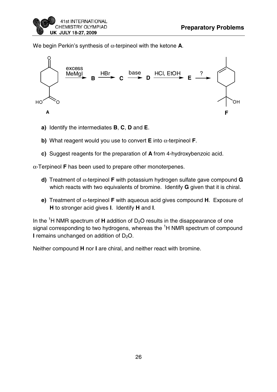We begin Perkin's synthesis of α-terpineol with the ketone **A**.



- **a)** Identify the intermediates **B**, **C**, **D** and **E**.
- **b)** What reagent would you use to convert **E** into α-terpineol **F**.
- **c)** Suggest reagents for the preparation of **A** from 4-hydroxybenzoic acid.

α-Terpineol **F** has been used to prepare other monoterpenes.

- **d)** Treatment of α-terpineol **F** with potassium hydrogen sulfate gave compound **G** which reacts with two equivalents of bromine. Identify **G** given that it is chiral.
- **e)** Treatment of α-terpineol **F** with aqueous acid gives compound **H**. Exposure of **H** to stronger acid gives **I**. Identify **H** and **I**.

In the  ${}^{1}$ H NMR spectrum of **H** addition of D<sub>2</sub>O results in the disappearance of one signal corresponding to two hydrogens, whereas the <sup>1</sup>H NMR spectrum of compound **I** remains unchanged on addition of  $D_2O$ .

Neither compound **H** nor **I** are chiral, and neither react with bromine.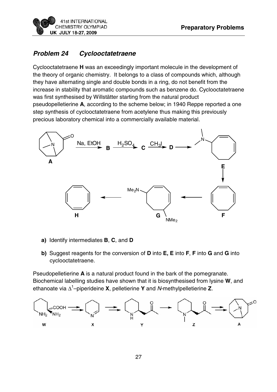![](_page_27_Picture_1.jpeg)

# **Problem 24 Cyclooctatetraene**

Cyclooctatetraene **H** was an exceedingly important molecule in the development of the theory of organic chemistry. It belongs to a class of compounds which, although they have alternating single and double bonds in a ring, do not benefit from the increase in stability that aromatic compounds such as benzene do. Cyclooctatetraene was first synthesised by Willstätter starting from the natural product pseudopelletierine **A**, according to the scheme below; in 1940 Reppe reported a one step synthesis of cyclooctatetraene from acetylene thus making this previously precious laboratory chemical into a commercially available material.

![](_page_27_Figure_4.jpeg)

- **a)** Identify intermediates **B**, **C**, and **D**
- **b)** Suggest reagents for the conversion of **D** into **E, E** into **F**, **F** into **G** and **G** into cyclooctatetraene.

Pseudopelletierine **A** is a natural product found in the bark of the pomegranate. Biochemical labelling studies have shown that it is biosynthesised from lysine **W**, and ethanoate via Δ<sup>1</sup> –piperideine **X**, pelletierine **Y** and N-methylpelletierine **Z**.

![](_page_27_Figure_8.jpeg)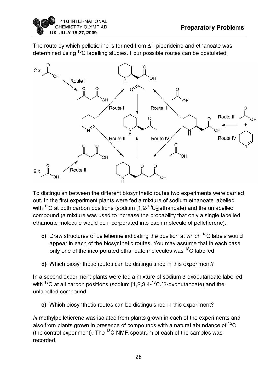![](_page_28_Picture_1.jpeg)

The route by which pelletierine is formed from  $\Delta^1$ –piperideine and ethanoate was determined using <sup>13</sup>C labelling studies. Four possible routes can be postulated:

![](_page_28_Figure_3.jpeg)

To distinguish between the different biosynthetic routes two experiments were carried out. In the first experiment plants were fed a mixture of sodium ethanoate labelled with <sup>13</sup>C at both carbon positions (sodium  $[1.2^{-13}C_2]$ ethanoate) and the unlabelled compound (a mixture was used to increase the probability that only a single labelled ethanoate molecule would be incorporated into each molecule of pelletierene).

- **c)** Draw structures of pelletierine indicating the position at which <sup>13</sup>C labels would appear in each of the biosynthetic routes. You may assume that in each case only one of the incorporated ethanoate molecules was <sup>13</sup>C labelled.
- **d)** Which biosynthetic routes can be distinguished in this experiment?

In a second experiment plants were fed a mixture of sodium 3-oxobutanoate labelled with  $^{13}$ C at all carbon positions (sodium [1,2,3,4- $^{13}$ C<sub>4</sub>]3-oxobutanoate) and the unlabelled compound.

**e)** Which biosynthetic routes can be distinguished in this experiment?

N-methylpelletierene was isolated from plants grown in each of the experiments and also from plants grown in presence of compounds with a natural abundance of  ${}^{13}C$ (the control experiment). The  ${}^{13}$ C NMR spectrum of each of the samples was recorded.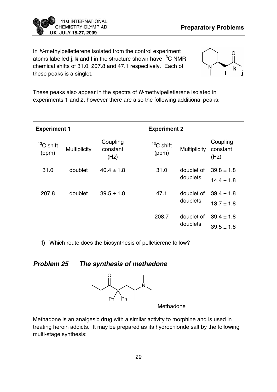![](_page_29_Picture_0.jpeg)

In N-methylpelletierene isolated from the control experiment atoms labelled **j**, **k** and **l** in the structure shown have 13C NMR chemical shifts of 31.0, 207.8 and 47.1 respectively. Each of these peaks is a singlet.

![](_page_29_Picture_3.jpeg)

These peaks also appear in the spectra of N-methylpelletierene isolated in experiments 1 and 2, however there are also the following additional peaks:

| <b>Experiment 1</b>  |                     |                              | <b>Experiment 2</b>  |                        |                                  |  |  |  |  |
|----------------------|---------------------|------------------------------|----------------------|------------------------|----------------------------------|--|--|--|--|
| $13C$ shift<br>(ppm) | <b>Multiplicity</b> | Coupling<br>constant<br>(Hz) | $13C$ shift<br>(ppm) | <b>Multiplicity</b>    | Coupling<br>constant<br>(Hz)     |  |  |  |  |
| 31.0                 | doublet             | $40.4 \pm 1.8$               | 31.0                 | doublet of<br>doublets | $39.8 \pm 1.8$<br>$14.4 \pm 1.8$ |  |  |  |  |
| 207.8                | doublet             | $39.5 \pm 1.8$               | 47.1                 | doublet of<br>doublets | $39.4 \pm 1.8$<br>$13.7 \pm 1.8$ |  |  |  |  |
|                      |                     |                              | 208.7                | doublet of<br>doublets | $39.4 \pm 1.8$<br>$39.5 \pm 1.8$ |  |  |  |  |

**f)** Which route does the biosynthesis of pelletierene follow?

# **Problem 25 The synthesis of methadone**

![](_page_29_Figure_8.jpeg)

Methadone

Methadone is an analgesic drug with a similar activity to morphine and is used in treating heroin addicts. It may be prepared as its hydrochloride salt by the following multi-stage synthesis: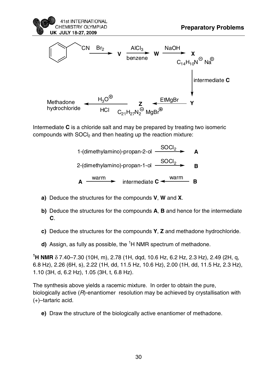![](_page_30_Figure_0.jpeg)

Intermediate **C** is a chloride salt and may be prepared by treating two isomeric compounds with SOCI<sub>2</sub> and then heating up the reaction mixture:

- 1-(dimethylamino)-propan-2-ol <u>SOCl2</u> 2-(dimethylamino)-propan-1-ol SOCl2 **A B A** intermediate **C**  $\leftarrow$  warm
- **a)** Deduce the structures for the compounds **V**, **W** and **X**.
- **b)** Deduce the structures for the compounds **A**, **B** and hence for the intermediate **C**.
- **c)** Deduce the structures for the compounds **Y**, **Z** and methadone hydrochloride.
- d) Assign, as fully as possible, the <sup>1</sup>H NMR spectrum of methadone.

**1 H NMR** δ 7.40–7.30 (10H, m), 2.78 (1H, dqd, 10.6 Hz, 6.2 Hz, 2.3 Hz), 2.49 (2H, q, 6.8 Hz), 2.26 (6H, s), 2.22 (1H, dd, 11.5 Hz, 10.6 Hz), 2.00 (1H, dd, 11.5 Hz, 2.3 Hz), 1.10 (3H, d, 6.2 Hz), 1.05 (3H, t, 6.8 Hz).

The synthesis above yields a racemic mixture. In order to obtain the pure, biologically active (R)-enantiomer resolution may be achieved by crystallisation with (+)–tartaric acid.

**e)** Draw the structure of the biologically active enantiomer of methadone.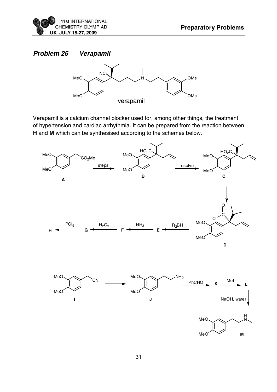![](_page_31_Picture_0.jpeg)

# **Problem 26 Verapamil**

![](_page_31_Figure_3.jpeg)

Verapamil is a calcium channel blocker used for, among other things, the treatment of hypertension and cardiac arrhythmia. It can be prepared from the reaction between **H** and **M** which can be synthesised according to the schemes below.

![](_page_31_Figure_5.jpeg)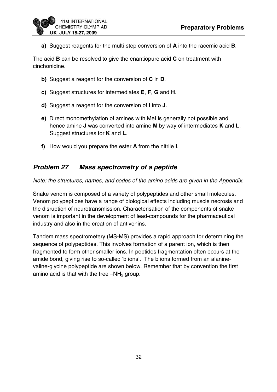![](_page_32_Picture_1.jpeg)

**a)** Suggest reagents for the multi-step conversion of **A** into the racemic acid **B**.

The acid **B** can be resolved to give the enantiopure acid **C** on treatment with cinchonidine.

- **b)** Suggest a reagent for the conversion of **C** in **D**.
- **c)** Suggest structures for intermediates **E**, **F**, **G** and **H**.
- **d)** Suggest a reagent for the conversion of **I** into **J**.
- **e)** Direct monomethylation of amines with MeI is generally not possible and hence amine **J** was converted into amine **M** by way of intermediates **K** and **L**. Suggest structures for **K** and **L**.
- **f)** How would you prepare the ester **A** from the nitrile **I**.

# **Problem 27 Mass spectrometry of a peptide**

Note: the structures, names, and codes of the amino acids are given in the Appendix.

Snake venom is composed of a variety of polypeptides and other small molecules. Venom polypeptides have a range of biological effects including muscle necrosis and the disruption of neurotransmission. Characterisation of the components of snake venom is important in the development of lead-compounds for the pharmaceutical industry and also in the creation of antivenins.

Tandem mass spectrometery (MS-MS) provides a rapid approach for determining the sequence of polypeptides. This involves formation of a parent ion, which is then fragmented to form other smaller ions. In peptides fragmentation often occurs at the amide bond, giving rise to so-called 'b ions'. The b ions formed from an alaninevaline-glycine polypeptide are shown below. Remember that by convention the first amino acid is that with the free  $-NH<sub>2</sub>$  group.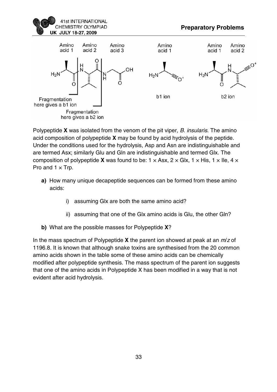![](_page_33_Picture_0.jpeg)

![](_page_33_Figure_2.jpeg)

Polypeptide **X** was isolated from the venom of the pit viper, B. insularis. The amino acid composition of polypeptide **X** may be found by acid hydrolysis of the peptide. Under the conditions used for the hydrolysis, Asp and Asn are indistinguishable and are termed Asx; similarly Glu and Gln are indistinguishable and termed Glx. The composition of polypeptide **X** was found to be:  $1 \times$  Asx,  $2 \times$  Glx,  $1 \times$  His,  $1 \times$  Ile,  $4 \times$ Pro and  $1 \times Trp$ .

- **a)** How many unique decapeptide sequences can be formed from these amino acids:
	- i) assuming Glx are both the same amino acid?
	- ii) assuming that one of the Glx amino acids is Glu, the other Gln?
- **b)** What are the possible masses for Polypeptide **X**?

In the mass spectrum of Polypeptide **X** the parent ion showed at peak at an m/z of 1196.8. It is known that although snake toxins are synthesised from the 20 common amino acids shown in the table some of these amino acids can be chemically modified after polypeptide synthesis. The mass spectrum of the parent ion suggests that one of the amino acids in Polypeptide X has been modified in a way that is not evident after acid hydrolysis.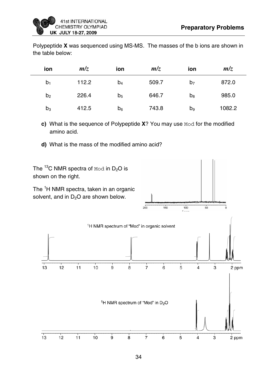Polypeptide **X** was sequenced using MS-MS. The masses of the b ions are shown in the table below:

| ion            | m/z   | ion            | m/z   | ion            | m/z    |
|----------------|-------|----------------|-------|----------------|--------|
| b <sub>1</sub> | 112.2 | $b_4$          | 509.7 | b <sub>7</sub> | 872.0  |
| b <sub>2</sub> | 226.4 | b <sub>5</sub> | 646.7 | $b_8$          | 985.0  |
| $b_3$          | 412.5 | b <sub>6</sub> | 743.8 | $b_9$          | 1082.2 |

**c)** What is the sequence of Polypeptide **X**? You may use Mod for the modified amino acid.

**d)** What is the mass of the modified amino acid?

![](_page_34_Figure_6.jpeg)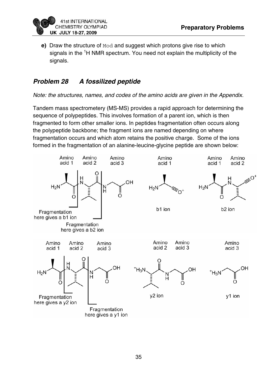![](_page_35_Picture_1.jpeg)

**e)** Draw the structure of Mod and suggest which protons give rise to which signals in the <sup>1</sup>H NMR spectrum. You need not explain the multiplicity of the signals.

# **Problem 28 A fossilized peptide**

Note: the structures, names, and codes of the amino acids are given in the Appendix.

Tandem mass spectrometery (MS-MS) provides a rapid approach for determining the sequence of polypeptides. This involves formation of a parent ion, which is then fragmented to form other smaller ions. In peptides fragmentation often occurs along the polypeptide backbone; the fragment ions are named depending on where fragmentation occurs and which atom retains the positive charge. Some of the ions formed in the fragmentation of an alanine-leucine-glycine peptide are shown below:

![](_page_35_Figure_6.jpeg)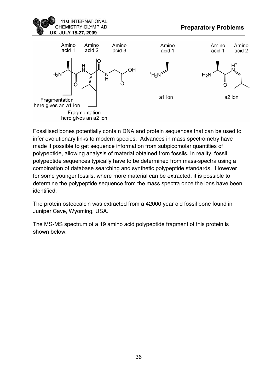![](_page_36_Picture_0.jpeg)

![](_page_36_Figure_2.jpeg)

Fossilised bones potentially contain DNA and protein sequences that can be used to infer evolutionary links to modern species. Advances in mass spectrometry have made it possible to get sequence information from subpicomolar quantities of polypeptide, allowing analysis of material obtained from fossils. In reality, fossil polypeptide sequences typically have to be determined from mass-spectra using a combination of database searching and synthetic polypeptide standards. However for some younger fossils, where more material can be extracted, it is possible to determine the polypeptide sequence from the mass spectra once the ions have been identified.

The protein osteocalcin was extracted from a 42000 year old fossil bone found in Juniper Cave, Wyoming, USA.

The MS-MS spectrum of a 19 amino acid polypeptide fragment of this protein is shown below: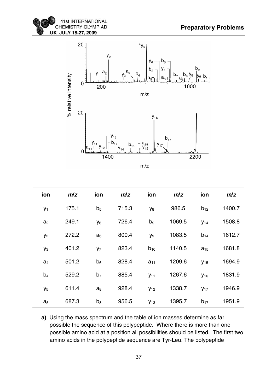![](_page_37_Picture_1.jpeg)

![](_page_37_Figure_2.jpeg)

| ion            | m/z   | ion            | m/z   | ion            | m/z    | ion                    | m/z    |
|----------------|-------|----------------|-------|----------------|--------|------------------------|--------|
| $y_1$          | 175.1 | b <sub>5</sub> | 715.3 | У <sub>8</sub> | 986.5  | $b_{12}$               | 1400.7 |
| a <sub>2</sub> | 249.1 | y <sub>6</sub> | 726.4 | b <sub>9</sub> | 1069.5 | $y_{14}$               | 1508.8 |
| y <sub>2</sub> | 272.2 | $a_6$          | 800.4 | y <sub>9</sub> | 1083.5 | $b_{14}$               | 1612.7 |
| yз             | 401.2 | y <sub>7</sub> | 823.4 | $b_{10}$       | 1140.5 | $a_{15}$               | 1681.8 |
| a <sub>4</sub> | 501.2 | $b_6$          | 828.4 | $a_{11}$       | 1209.6 | $y_{15}$               | 1694.9 |
| b <sub>4</sub> | 529.2 | b <sub>7</sub> | 885.4 | $y_{11}$       | 1267.6 | <b>y</b> <sub>16</sub> | 1831.9 |
| y <sub>5</sub> | 611.4 | $a_8$          | 928.4 | $y_{12}$       | 1338.7 | $y_{17}$               | 1946.9 |
| a <sub>5</sub> | 687.3 | $b_8$          | 956.5 | <b>У</b> 13    | 1395.7 | $b_{17}$               | 1951.9 |

**a)** Using the mass spectrum and the table of ion masses determine as far possible the sequence of this polypeptide. Where there is more than one possible amino acid at a position all possibilities should be listed. The first two amino acids in the polypeptide sequence are Tyr-Leu. The polypeptide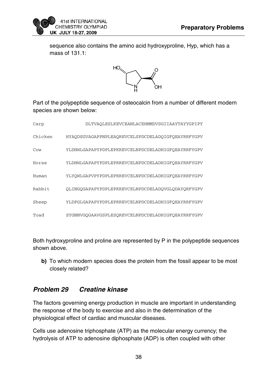![](_page_38_Picture_1.jpeg)

sequence also contains the amino acid hydroxyproline, Hyp, which has a mass of 131.1:

![](_page_38_Figure_3.jpeg)

Part of the polypeptide sequence of osteocalcin from a number of different modern species are shown below:

| Carp    | DLTVAOLESLKEVCEANLACEHMMDVSGIIAAYTAYYGPIPY        |
|---------|---------------------------------------------------|
| Chicken | HYAODSGVAGAPPNPLEAOREVCELSPDCDELADOIGFOEAYRRFYGPV |
| Cow     | YLDHWLGAPAPYPDPLEPKREVCELNPDCDELADHIGFQEAYRRFYGPV |
| Horse   | YLDHWLGAPAPYPDPLEPRREVCELNPDCDELADHIGFOEAYRRFYGPV |
| Human   | YLYOWLGAPVPYPDPLEPRREVCELNPDCDELADHIGFOEAYRRFYGPV |
| Rabbit  | OLINGOGAPAPYPDPLEPKREVCELNPDCDELADOVGLODAYORFYGPV |
| Sheep   | YLDPGLGAPAPYPDPLEPRREVCELNPDCDELADHIGFQEAYRRFYGPV |
| Toad    | SYGNNVGOGAAVGSPLESOREVCELNPDCDELADHIGFOEAYRRFYGPV |

Both hydroxyproline and proline are represented by P in the polypeptide sequences shown above.

**b)** To which modern species does the protein from the fossil appear to be most closely related?

# **Problem 29 Creatine kinase**

The factors governing energy production in muscle are important in understanding the response of the body to exercise and also in the determination of the physiological effect of cardiac and muscular diseases.

Cells use adenosine triphosphate (ATP) as the molecular energy currency; the hydrolysis of ATP to adenosine diphosphate (ADP) is often coupled with other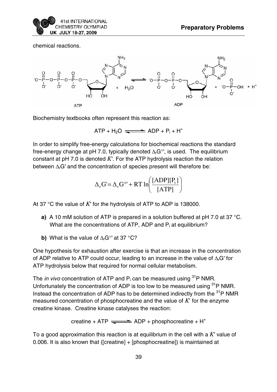![](_page_39_Picture_0.jpeg)

chemical reactions.

![](_page_39_Figure_3.jpeg)

Biochemistry textbooks often represent this reaction as:

 $ATP + H<sub>2</sub>O \implies ADP + P<sub>i</sub> + H<sup>+</sup>$ 

In order to simplify free-energy calculations for biochemical reactions the standard free-energy change at pH 7.0, typically denoted  $\Delta_f$ G°', is used. The equilibrium constant at pH 7.0 is denoted *K*′. For the ATP hydrolysis reaction the relation between  $\Delta_f$ G' and the concentration of species present will therefore be:

$$
\Delta_{\rm r} G = \Delta_{\rm r} G^{\circ} + RT \ln \left( \frac{[ADP][P_{\rm i}]}{[ATP]} \right)
$$

At 37 °C the value of *K*′ for the hydrolysis of ATP to ADP is 138000.

- **a)** A 10 mM solution of ATP is prepared in a solution buffered at pH 7.0 at 37 °C. What are the concentrations of ATP, ADP and  $P_i$  at equilibrium?
- **b)** What is the value of  $\Delta_r$ G<sup>°</sup> at 37 °C?

One hypothesis for exhaustion after exercise is that an increase in the concentration of ADP relative to ATP could occur, leading to an increase in the value of  $\Delta_f$ G' for ATP hydrolysis below that required for normal cellular metabolism.

The *in vivo* concentration of ATP and  $P_i$  can be measured using <sup>31</sup>P NMR. Unfortunately the concentration of ADP is too low to be measured using <sup>31</sup>P NMR. Instead the concentration of ADP has to be determined indirectly from the  $31P$  NMR measured concentration of phosphocreatine and the value of *K*' for the enzyme creatine kinase. Creatine kinase catalyses the reaction:

creatine + ATP  $\implies$  ADP + phosphocreatine + H<sup>+</sup>

To a good approximation this reaction is at equilibrium in the cell with a *K*′ value of 0.006. It is also known that ([creatine] + [phosphocreatine]) is maintained at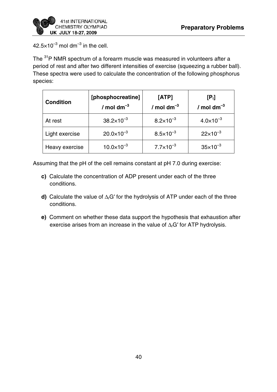![](_page_40_Picture_1.jpeg)

 $42.5\times10^{-3}$  mol dm<sup>-3</sup> in the cell.

The <sup>31</sup>P NMR spectrum of a forearm muscle was measured in volunteers after a period of rest and after two different intensities of exercise (squeezing a rubber ball). These spectra were used to calculate the concentration of the following phosphorus species:

| <b>Condition</b> | [phosphocreatine]<br>/ mol dm $^{-3}$ | [ATP]<br>/ mol dm $^{-3}$ | $[P_i]$<br>/ mol dm $^{-3}$ |
|------------------|---------------------------------------|---------------------------|-----------------------------|
| At rest          | $38.2\times10^{-3}$                   | $8.2\times10^{-3}$        | $4.0 \times 10^{-3}$        |
| Light exercise   | $20.0 \times 10^{-3}$                 | $8.5 \times 10^{-3}$      | $22\times10^{-3}$           |
| Heavy exercise   | $10.0\times10^{-3}$                   | $7.7 \times 10^{-3}$      | $35 \times 10^{-3}$         |

Assuming that the pH of the cell remains constant at pH 7.0 during exercise:

- **c)** Calculate the concentration of ADP present under each of the three conditions.
- **d)** Calculate the value of ΔrG′ for the hydrolysis of ATP under each of the three conditions.
- **e)** Comment on whether these data support the hypothesis that exhaustion after exercise arises from an increase in the value of  $\Delta_f$ G' for ATP hydrolysis.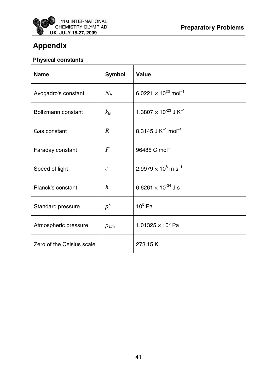![](_page_41_Picture_0.jpeg)

# **Appendix**

# **Physical constants**

| <b>Name</b>               | <b>Symbol</b>    | Value                                               |
|---------------------------|------------------|-----------------------------------------------------|
| Avogadro's constant       | $N_{\sf A}$      | 6.0221 $\times$ 10 <sup>23</sup> mol <sup>-1</sup>  |
| Boltzmann constant        | $k_{\rm B}$      | 1.3807 $\times$ 10 <sup>-23</sup> J K <sup>-1</sup> |
| Gas constant              | $\overline{R}$   | 8.3145 J $K^{-1}$ mol <sup>-1</sup>                 |
| Faraday constant          | $\bm{F}$         | $96485$ C mol <sup>-1</sup>                         |
| Speed of light            | $\mathcal{C}$    | $2.9979 \times 10^8$ m s <sup>-1</sup>              |
| Planck's constant         | $\boldsymbol{h}$ | 6.6261 $\times$ 10 <sup>-34</sup> J s               |
| Standard pressure         | $p^{\circ}$      | $105$ Pa                                            |
| Atmospheric pressure      | $p_{\text{atm}}$ | 1.01325 $\times$ 10 <sup>5</sup> Pa                 |
| Zero of the Celsius scale |                  | 273.15 K                                            |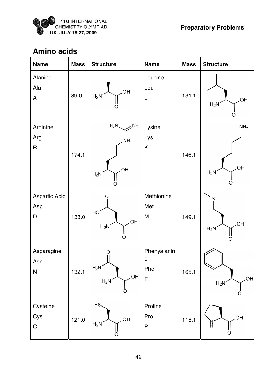# **Amino acids**

| <b>Name</b>                    | <b>Mass</b> | <b>Structure</b>                               | <b>Name</b>                                       | <b>Mass</b> | <b>Structure</b>                |
|--------------------------------|-------------|------------------------------------------------|---------------------------------------------------|-------------|---------------------------------|
| Alanine<br>Ala<br>A            | 89.0        | OH<br>$H_2N$                                   | Leucine<br>Leu<br>L                               | 131.1       | <b>OH</b><br>$H_2N$             |
| Arginine<br>Arg<br>$\mathsf R$ | 174.1       | $H_2N$<br>NH<br><b>NH</b><br>OH<br>$H_2N$<br>ő | Lysine<br>Lys<br>K                                | 146.1       | NH <sub>2</sub><br>OH<br>$H_2N$ |
| Aspartic Acid<br>Asp<br>D      | 133.0       | Ő<br>HO<br>OH<br>$H_2N$<br>∩                   | Methionine<br>Met<br>M                            | 149.1       | <b>OH</b><br>$H_2N$             |
| Asparagine<br>Asn<br>${\sf N}$ | 132.1       | O<br>$H_2N$<br>OH<br>$H_2N$<br>O               | Phenyalanin<br>$\mathsf{e}$<br>Phe<br>$\mathsf F$ | 165.1       | OH<br>$H_2N$                    |
| Cysteine<br>Cys<br>$\mathsf C$ | 121.0       | HS.<br>OH<br>$H_2N$<br>O                       | Proline<br>Pro<br>${\sf P}$                       | 115.1       | OH<br>N<br>H<br>ő               |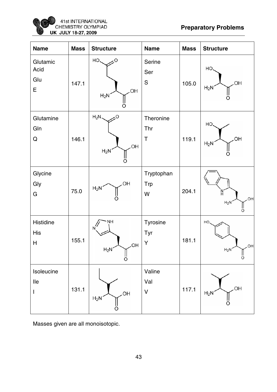![](_page_43_Picture_0.jpeg)

| <b>Name</b>                       | <b>Mass</b> | <b>Structure</b>                           | <b>Name</b>                     | <b>Mass</b> | <b>Structure</b>                   |
|-----------------------------------|-------------|--------------------------------------------|---------------------------------|-------------|------------------------------------|
| Glutamic<br>Acid<br>Glu<br>E      | 147.1       | $HO_{\sim}$<br>$\sim$<br>OH<br>$H_2N$<br>O | Serine<br>Ser<br>S              | 105.0       | HO.<br>OH<br>$H_2N$<br>Ω           |
| Glutamine<br>Gln<br>Q             | 146.1       | $H_2N$<br>O<br>OH.<br>$H_2N$<br>O          | Theronine<br>Thr<br>$\mathsf T$ | 119.1       | HO.<br>OH<br>$H_2N$<br>റ           |
| Glycine<br>Gly<br>G               | 75.0        | OH<br>$H_2N$                               | Tryptophan<br><b>Trp</b><br>W   | 204.1       | $\frac{N}{2}$<br>OH<br>$H_2N$<br>ő |
| Histidine<br>His<br>H             | 155.1       | NH<br>N<br>OH<br>$H_2N$<br>Ш<br>Ö          | Tyrosine<br>Tyr<br>Y            | 181.1       | HO,<br>OH<br>$H_2N$<br>ll<br>O     |
| Isoleucine<br>$\mathsf{IIe}$<br>I | 131.1       | OH<br>$H_2N$<br>O                          | Valine<br>Val<br>$\mathsf{V}$   | 117.1       | OH.<br>$H_2N$                      |

Masses given are all monoisotopic.